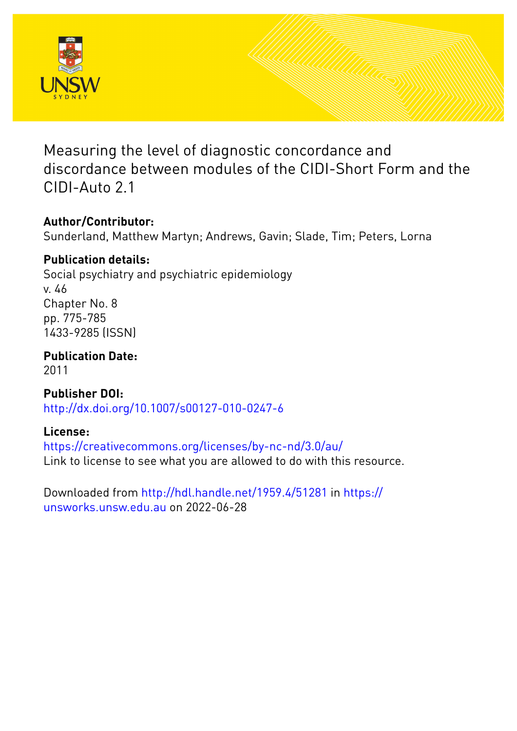

Measuring the level of diagnostic concordance and discordance between modules of the CIDI-Short Form and the CIDI-Auto 2.1

# **Author/Contributor:**

Sunderland, Matthew Martyn; Andrews, Gavin; Slade, Tim; Peters, Lorna

# **Publication details:**

Social psychiatry and psychiatric epidemiology v. 46 Chapter No. 8 pp. 775-785 1433-9285 (ISSN)

**Publication Date:** 2011

**Publisher DOI:** [http://dx.doi.org/10.1007/s00127-010-0247-6](http://dx.doi.org/http://dx.doi.org/10.1007/s00127-010-0247-6)

# **License:**

<https://creativecommons.org/licenses/by-nc-nd/3.0/au/> Link to license to see what you are allowed to do with this resource.

Downloaded from <http://hdl.handle.net/1959.4/51281> in [https://](https://unsworks.unsw.edu.au) [unsworks.unsw.edu.au](https://unsworks.unsw.edu.au) on 2022-06-28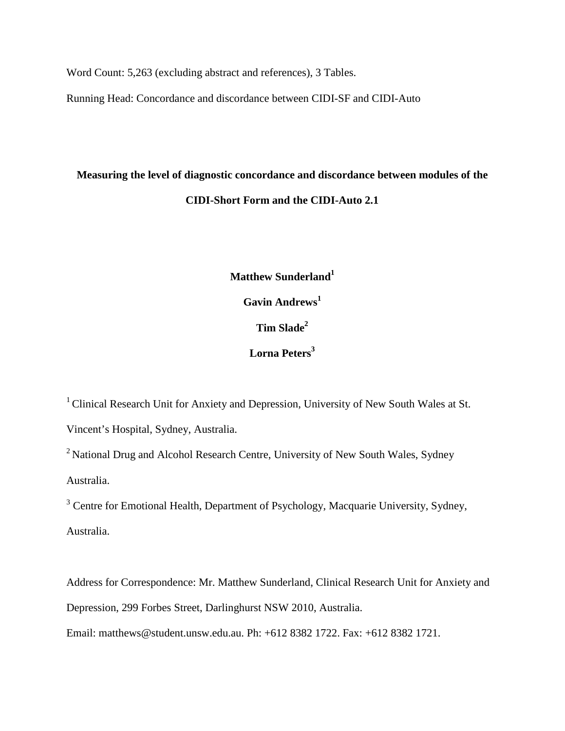Word Count: 5,263 (excluding abstract and references), 3 Tables.

Running Head: Concordance and discordance between CIDI-SF and CIDI-Auto

# **Measuring the level of diagnostic concordance and discordance between modules of the CIDI-Short Form and the CIDI-Auto 2.1**

**Matthew Sunderland1 Gavin Andrews<sup>1</sup> Tim Slade2 Lorna Peters<sup>3</sup>**

<sup>1</sup> Clinical Research Unit for Anxiety and Depression, University of New South Wales at St. Vincent's Hospital, Sydney, Australia.

<sup>2</sup> National Drug and Alcohol Research Centre, University of New South Wales, Sydney Australia.

<sup>3</sup> Centre for Emotional Health, Department of Psychology, Macquarie University, Sydney, Australia.

Address for Correspondence: Mr. Matthew Sunderland, Clinical Research Unit for Anxiety and Depression, 299 Forbes Street, Darlinghurst NSW 2010, Australia.

Email: matthews@student.unsw.edu.au. Ph: +612 8382 1722. Fax: +612 8382 1721.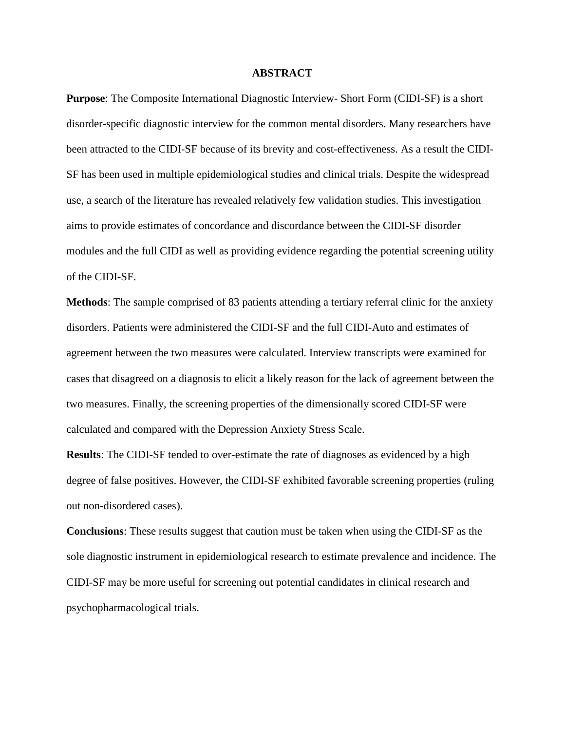#### **ABSTRACT**

**Purpose**: The Composite International Diagnostic Interview- Short Form (CIDI-SF) is a short disorder-specific diagnostic interview for the common mental disorders. Many researchers have been attracted to the CIDI-SF because of its brevity and cost-effectiveness. As a result the CIDI-SF has been used in multiple epidemiological studies and clinical trials. Despite the widespread use, a search of the literature has revealed relatively few validation studies. This investigation aims to provide estimates of concordance and discordance between the CIDI-SF disorder modules and the full CIDI as well as providing evidence regarding the potential screening utility of the CIDI-SF.

**Methods**: The sample comprised of 83 patients attending a tertiary referral clinic for the anxiety disorders. Patients were administered the CIDI-SF and the full CIDI-Auto and estimates of agreement between the two measures were calculated. Interview transcripts were examined for cases that disagreed on a diagnosis to elicit a likely reason for the lack of agreement between the two measures. Finally, the screening properties of the dimensionally scored CIDI-SF were calculated and compared with the Depression Anxiety Stress Scale.

**Results**: The CIDI-SF tended to over-estimate the rate of diagnoses as evidenced by a high degree of false positives. However, the CIDI-SF exhibited favorable screening properties (ruling out non-disordered cases).

**Conclusions**: These results suggest that caution must be taken when using the CIDI-SF as the sole diagnostic instrument in epidemiological research to estimate prevalence and incidence. The CIDI-SF may be more useful for screening out potential candidates in clinical research and psychopharmacological trials.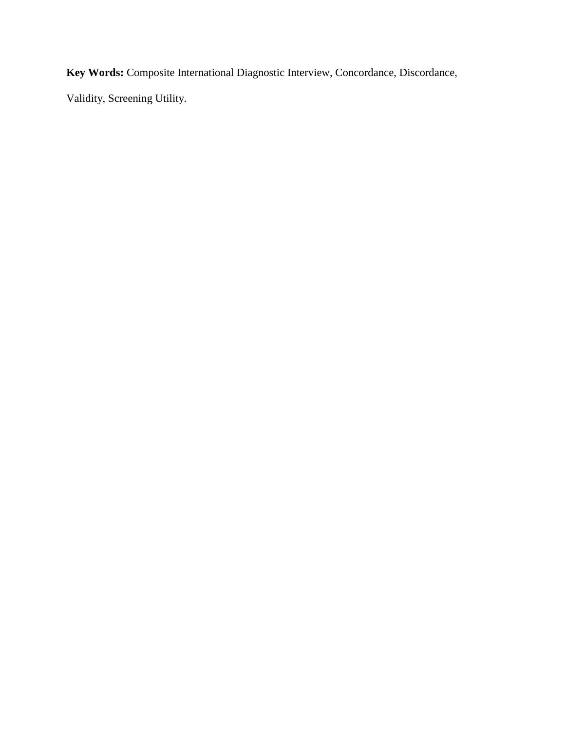**Key Words:** Composite International Diagnostic Interview, Concordance, Discordance,

Validity, Screening Utility.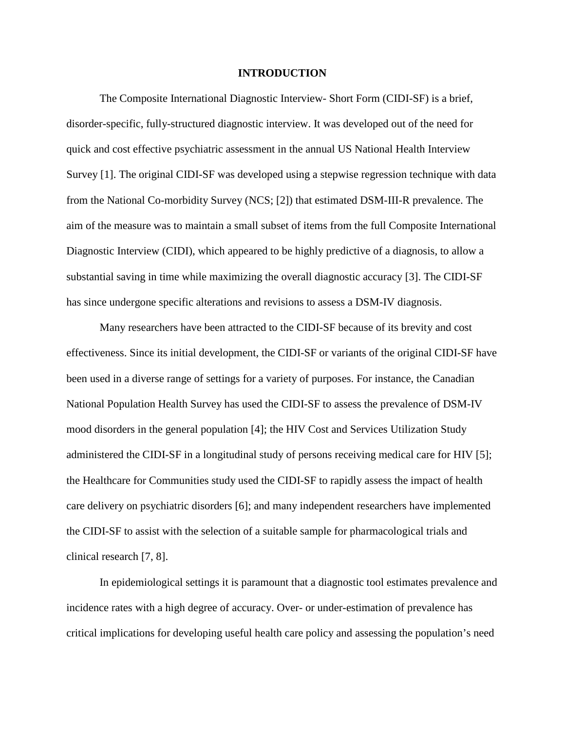#### **INTRODUCTION**

The Composite International Diagnostic Interview- Short Form (CIDI-SF) is a brief, disorder-specific, fully-structured diagnostic interview. It was developed out of the need for quick and cost effective psychiatric assessment in the annual US National Health Interview Survey [1]. The original CIDI-SF was developed using a stepwise regression technique with data from the National Co-morbidity Survey (NCS; [2]) that estimated DSM-III-R prevalence. The aim of the measure was to maintain a small subset of items from the full Composite International Diagnostic Interview (CIDI), which appeared to be highly predictive of a diagnosis, to allow a substantial saving in time while maximizing the overall diagnostic accuracy [3]. The CIDI-SF has since undergone specific alterations and revisions to assess a DSM-IV diagnosis.

Many researchers have been attracted to the CIDI-SF because of its brevity and cost effectiveness. Since its initial development, the CIDI-SF or variants of the original CIDI-SF have been used in a diverse range of settings for a variety of purposes. For instance, the Canadian National Population Health Survey has used the CIDI-SF to assess the prevalence of DSM-IV mood disorders in the general population [4]; the HIV Cost and Services Utilization Study administered the CIDI-SF in a longitudinal study of persons receiving medical care for HIV [5]; the Healthcare for Communities study used the CIDI-SF to rapidly assess the impact of health care delivery on psychiatric disorders [6]; and many independent researchers have implemented the CIDI-SF to assist with the selection of a suitable sample for pharmacological trials and clinical research [7, 8].

In epidemiological settings it is paramount that a diagnostic tool estimates prevalence and incidence rates with a high degree of accuracy. Over- or under-estimation of prevalence has critical implications for developing useful health care policy and assessing the population's need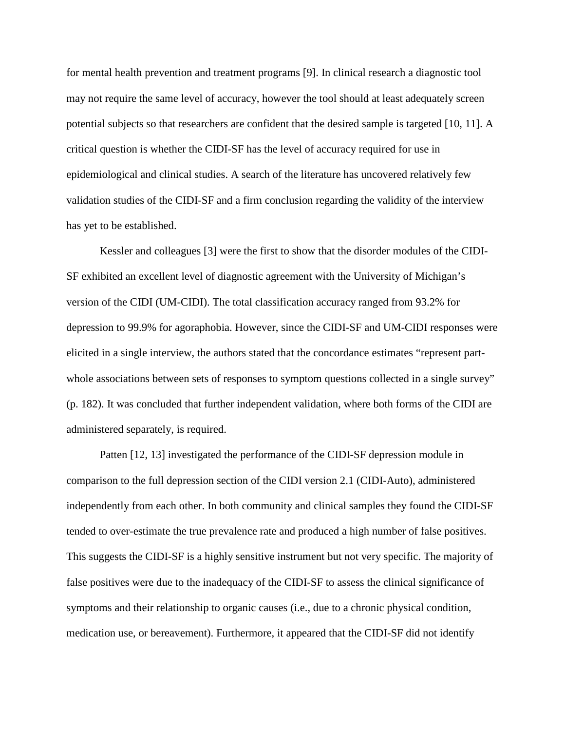for mental health prevention and treatment programs [9]. In clinical research a diagnostic tool may not require the same level of accuracy, however the tool should at least adequately screen potential subjects so that researchers are confident that the desired sample is targeted [10, 11]. A critical question is whether the CIDI-SF has the level of accuracy required for use in epidemiological and clinical studies. A search of the literature has uncovered relatively few validation studies of the CIDI-SF and a firm conclusion regarding the validity of the interview has yet to be established.

Kessler and colleagues [3] were the first to show that the disorder modules of the CIDI-SF exhibited an excellent level of diagnostic agreement with the University of Michigan's version of the CIDI (UM-CIDI). The total classification accuracy ranged from 93.2% for depression to 99.9% for agoraphobia. However, since the CIDI-SF and UM-CIDI responses were elicited in a single interview, the authors stated that the concordance estimates "represent partwhole associations between sets of responses to symptom questions collected in a single survey" (p. 182). It was concluded that further independent validation, where both forms of the CIDI are administered separately, is required.

Patten [12, 13] investigated the performance of the CIDI-SF depression module in comparison to the full depression section of the CIDI version 2.1 (CIDI-Auto), administered independently from each other. In both community and clinical samples they found the CIDI-SF tended to over-estimate the true prevalence rate and produced a high number of false positives. This suggests the CIDI-SF is a highly sensitive instrument but not very specific. The majority of false positives were due to the inadequacy of the CIDI-SF to assess the clinical significance of symptoms and their relationship to organic causes (i.e., due to a chronic physical condition, medication use, or bereavement). Furthermore, it appeared that the CIDI-SF did not identify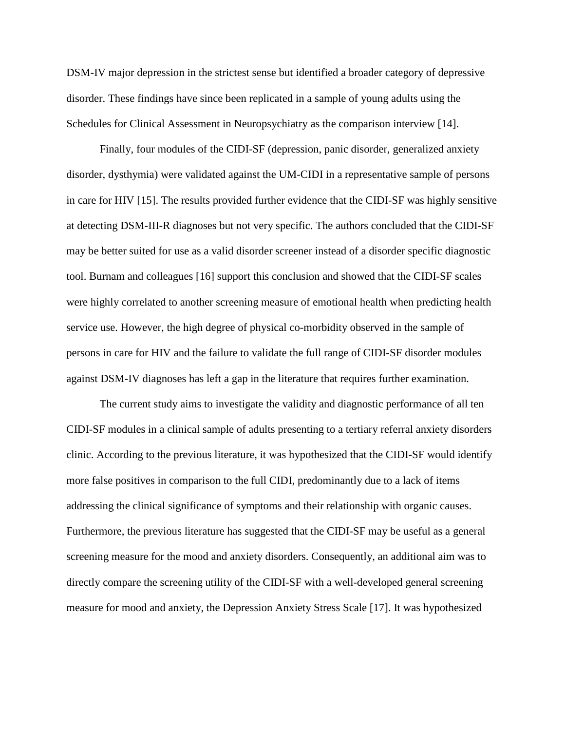DSM-IV major depression in the strictest sense but identified a broader category of depressive disorder. These findings have since been replicated in a sample of young adults using the Schedules for Clinical Assessment in Neuropsychiatry as the comparison interview [14].

Finally, four modules of the CIDI-SF (depression, panic disorder, generalized anxiety disorder, dysthymia) were validated against the UM-CIDI in a representative sample of persons in care for HIV [15]. The results provided further evidence that the CIDI-SF was highly sensitive at detecting DSM-III-R diagnoses but not very specific. The authors concluded that the CIDI-SF may be better suited for use as a valid disorder screener instead of a disorder specific diagnostic tool. Burnam and colleagues [16] support this conclusion and showed that the CIDI-SF scales were highly correlated to another screening measure of emotional health when predicting health service use. However, the high degree of physical co-morbidity observed in the sample of persons in care for HIV and the failure to validate the full range of CIDI-SF disorder modules against DSM-IV diagnoses has left a gap in the literature that requires further examination.

 The current study aims to investigate the validity and diagnostic performance of all ten CIDI-SF modules in a clinical sample of adults presenting to a tertiary referral anxiety disorders clinic. According to the previous literature, it was hypothesized that the CIDI-SF would identify more false positives in comparison to the full CIDI, predominantly due to a lack of items addressing the clinical significance of symptoms and their relationship with organic causes. Furthermore, the previous literature has suggested that the CIDI-SF may be useful as a general screening measure for the mood and anxiety disorders. Consequently, an additional aim was to directly compare the screening utility of the CIDI-SF with a well-developed general screening measure for mood and anxiety, the Depression Anxiety Stress Scale [17]. It was hypothesized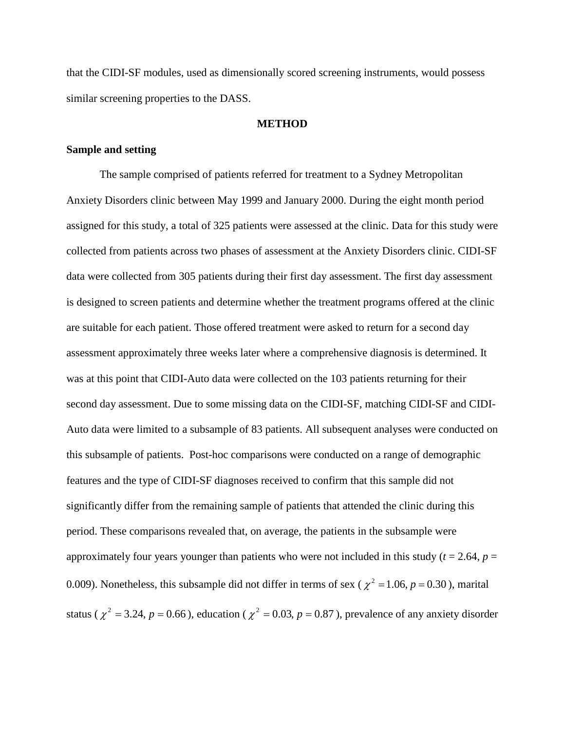that the CIDI-SF modules, used as dimensionally scored screening instruments, would possess similar screening properties to the DASS.

#### **METHOD**

#### **Sample and setting**

The sample comprised of patients referred for treatment to a Sydney Metropolitan Anxiety Disorders clinic between May 1999 and January 2000. During the eight month period assigned for this study, a total of 325 patients were assessed at the clinic. Data for this study were collected from patients across two phases of assessment at the Anxiety Disorders clinic. CIDI-SF data were collected from 305 patients during their first day assessment. The first day assessment is designed to screen patients and determine whether the treatment programs offered at the clinic are suitable for each patient. Those offered treatment were asked to return for a second day assessment approximately three weeks later where a comprehensive diagnosis is determined. It was at this point that CIDI-Auto data were collected on the 103 patients returning for their second day assessment. Due to some missing data on the CIDI-SF, matching CIDI-SF and CIDI-Auto data were limited to a subsample of 83 patients. All subsequent analyses were conducted on this subsample of patients. Post-hoc comparisons were conducted on a range of demographic features and the type of CIDI-SF diagnoses received to confirm that this sample did not significantly differ from the remaining sample of patients that attended the clinic during this period. These comparisons revealed that, on average, the patients in the subsample were approximately four years younger than patients who were not included in this study ( $t = 2.64$ ,  $p =$ 0.009). Nonetheless, this subsample did not differ in terms of sex ( $\chi^2 = 1.06$ ,  $p = 0.30$ ), marital status ( $\chi^2 = 3.24$ ,  $p = 0.66$ ), education ( $\chi^2 = 0.03$ ,  $p = 0.87$ ), prevalence of any anxiety disorder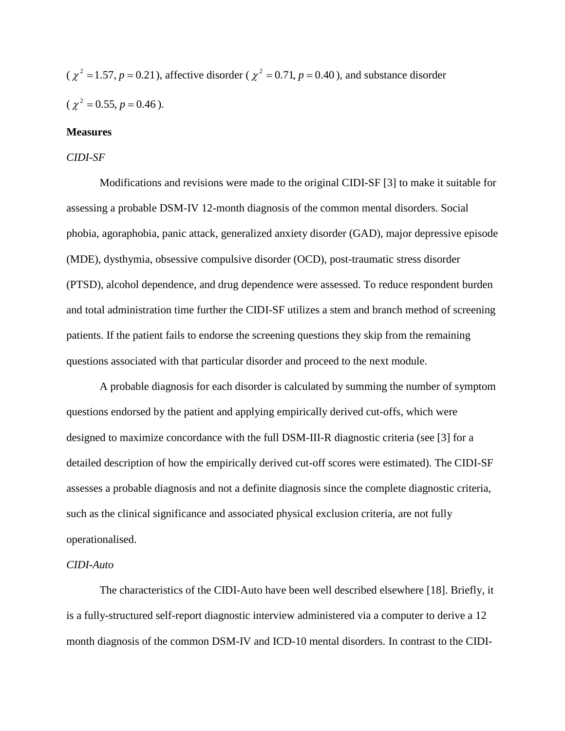( $\chi^2 = 1.57$ ,  $p = 0.21$ ), affective disorder ( $\chi^2 = 0.71$ ,  $p = 0.40$ ), and substance disorder  $(\chi^2 = 0.55, p = 0.46).$ 

#### **Measures**

#### *CIDI-SF*

Modifications and revisions were made to the original CIDI-SF [3] to make it suitable for assessing a probable DSM-IV 12-month diagnosis of the common mental disorders. Social phobia, agoraphobia, panic attack, generalized anxiety disorder (GAD), major depressive episode (MDE), dysthymia, obsessive compulsive disorder (OCD), post-traumatic stress disorder (PTSD), alcohol dependence, and drug dependence were assessed. To reduce respondent burden and total administration time further the CIDI-SF utilizes a stem and branch method of screening patients. If the patient fails to endorse the screening questions they skip from the remaining questions associated with that particular disorder and proceed to the next module.

A probable diagnosis for each disorder is calculated by summing the number of symptom questions endorsed by the patient and applying empirically derived cut-offs, which were designed to maximize concordance with the full DSM-III-R diagnostic criteria (see [3] for a detailed description of how the empirically derived cut-off scores were estimated). The CIDI-SF assesses a probable diagnosis and not a definite diagnosis since the complete diagnostic criteria, such as the clinical significance and associated physical exclusion criteria, are not fully operationalised.

#### *CIDI-Auto*

The characteristics of the CIDI-Auto have been well described elsewhere [18]. Briefly, it is a fully-structured self-report diagnostic interview administered via a computer to derive a 12 month diagnosis of the common DSM-IV and ICD-10 mental disorders. In contrast to the CIDI-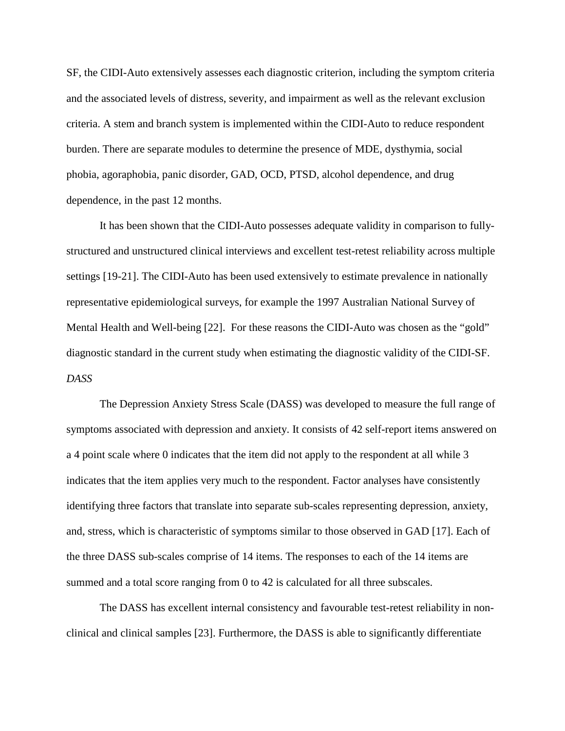SF, the CIDI-Auto extensively assesses each diagnostic criterion, including the symptom criteria and the associated levels of distress, severity, and impairment as well as the relevant exclusion criteria. A stem and branch system is implemented within the CIDI-Auto to reduce respondent burden. There are separate modules to determine the presence of MDE, dysthymia, social phobia, agoraphobia, panic disorder, GAD, OCD, PTSD, alcohol dependence, and drug dependence, in the past 12 months.

It has been shown that the CIDI-Auto possesses adequate validity in comparison to fullystructured and unstructured clinical interviews and excellent test-retest reliability across multiple settings [19-21]. The CIDI-Auto has been used extensively to estimate prevalence in nationally representative epidemiological surveys, for example the 1997 Australian National Survey of Mental Health and Well-being [22]. For these reasons the CIDI-Auto was chosen as the "gold" diagnostic standard in the current study when estimating the diagnostic validity of the CIDI-SF. *DASS*

The Depression Anxiety Stress Scale (DASS) was developed to measure the full range of symptoms associated with depression and anxiety. It consists of 42 self-report items answered on a 4 point scale where 0 indicates that the item did not apply to the respondent at all while 3 indicates that the item applies very much to the respondent. Factor analyses have consistently identifying three factors that translate into separate sub-scales representing depression, anxiety, and, stress, which is characteristic of symptoms similar to those observed in GAD [17]. Each of the three DASS sub-scales comprise of 14 items. The responses to each of the 14 items are summed and a total score ranging from 0 to 42 is calculated for all three subscales.

The DASS has excellent internal consistency and favourable test-retest reliability in nonclinical and clinical samples [23]. Furthermore, the DASS is able to significantly differentiate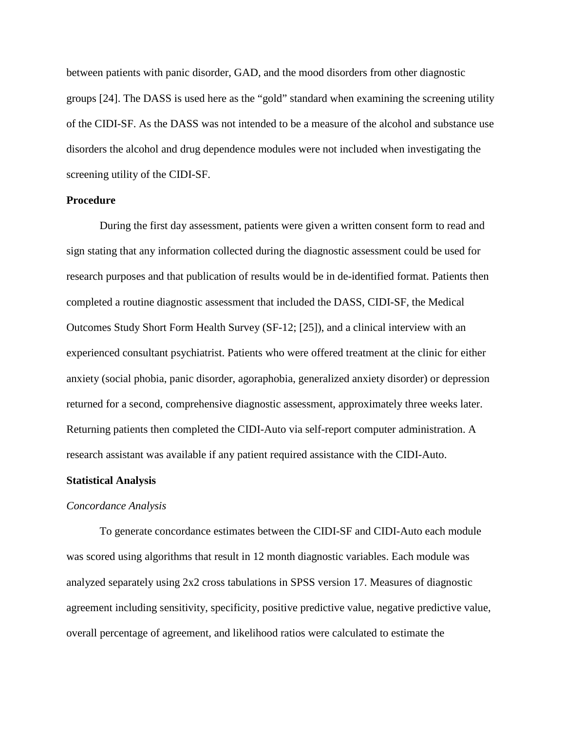between patients with panic disorder, GAD, and the mood disorders from other diagnostic groups [24]. The DASS is used here as the "gold" standard when examining the screening utility of the CIDI-SF. As the DASS was not intended to be a measure of the alcohol and substance use disorders the alcohol and drug dependence modules were not included when investigating the screening utility of the CIDI-SF.

#### **Procedure**

 During the first day assessment, patients were given a written consent form to read and sign stating that any information collected during the diagnostic assessment could be used for research purposes and that publication of results would be in de-identified format. Patients then completed a routine diagnostic assessment that included the DASS, CIDI-SF, the Medical Outcomes Study Short Form Health Survey (SF-12; [25]), and a clinical interview with an experienced consultant psychiatrist. Patients who were offered treatment at the clinic for either anxiety (social phobia, panic disorder, agoraphobia, generalized anxiety disorder) or depression returned for a second, comprehensive diagnostic assessment, approximately three weeks later. Returning patients then completed the CIDI-Auto via self-report computer administration. A research assistant was available if any patient required assistance with the CIDI-Auto.

#### **Statistical Analysis**

#### *Concordance Analysis*

To generate concordance estimates between the CIDI-SF and CIDI-Auto each module was scored using algorithms that result in 12 month diagnostic variables. Each module was analyzed separately using 2x2 cross tabulations in SPSS version 17. Measures of diagnostic agreement including sensitivity, specificity, positive predictive value, negative predictive value, overall percentage of agreement, and likelihood ratios were calculated to estimate the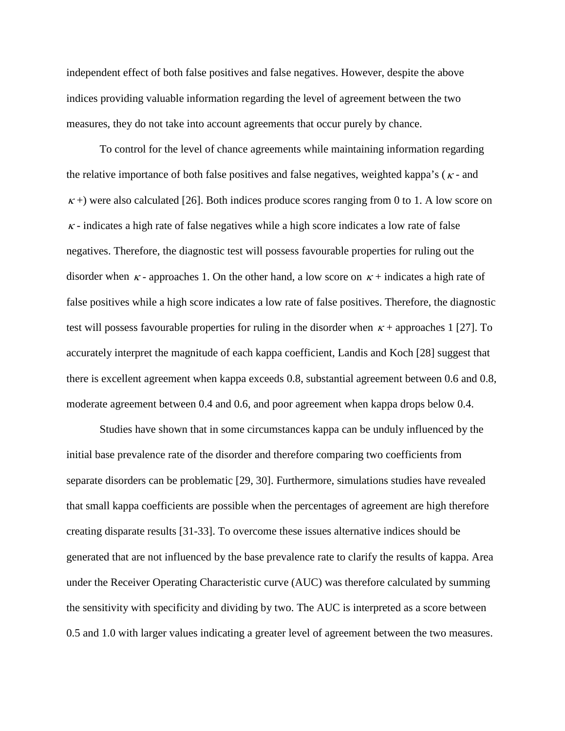independent effect of both false positives and false negatives. However, despite the above indices providing valuable information regarding the level of agreement between the two measures, they do not take into account agreements that occur purely by chance.

To control for the level of chance agreements while maintaining information regarding the relative importance of both false positives and false negatives, weighted kappa's ( $\kappa$ - and  $\kappa$  +) were also calculated [26]. Both indices produce scores ranging from 0 to 1. A low score on  $\kappa$  - indicates a high rate of false negatives while a high score indicates a low rate of false negatives. Therefore, the diagnostic test will possess favourable properties for ruling out the disorder when  $\kappa$ -approaches 1. On the other hand, a low score on  $\kappa$ + indicates a high rate of false positives while a high score indicates a low rate of false positives. Therefore, the diagnostic test will possess favourable properties for ruling in the disorder when  $\kappa$  + approaches 1 [27]. To accurately interpret the magnitude of each kappa coefficient, Landis and Koch [28] suggest that there is excellent agreement when kappa exceeds 0.8, substantial agreement between 0.6 and 0.8, moderate agreement between 0.4 and 0.6, and poor agreement when kappa drops below 0.4.

Studies have shown that in some circumstances kappa can be unduly influenced by the initial base prevalence rate of the disorder and therefore comparing two coefficients from separate disorders can be problematic [29, 30]. Furthermore, simulations studies have revealed that small kappa coefficients are possible when the percentages of agreement are high therefore creating disparate results [31-33]. To overcome these issues alternative indices should be generated that are not influenced by the base prevalence rate to clarify the results of kappa. Area under the Receiver Operating Characteristic curve (AUC) was therefore calculated by summing the sensitivity with specificity and dividing by two. The AUC is interpreted as a score between 0.5 and 1.0 with larger values indicating a greater level of agreement between the two measures.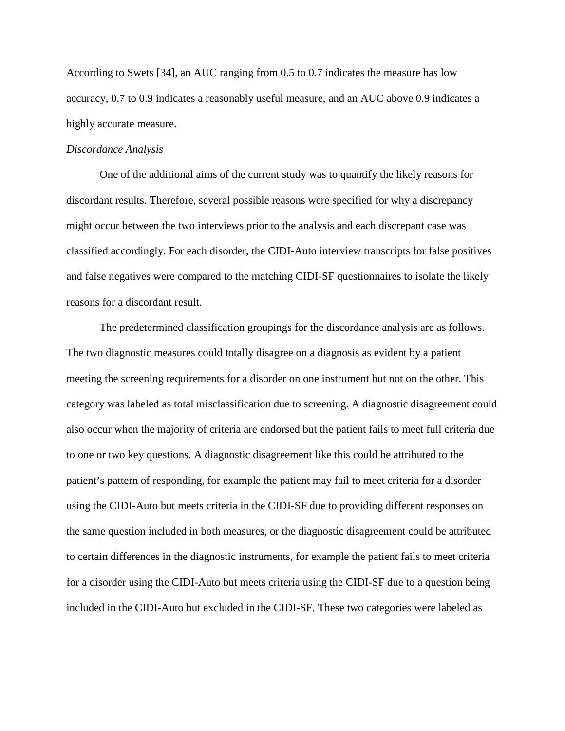According to Swets [34], an AUC ranging from 0.5 to 0.7 indicates the measure has low accuracy, 0.7 to 0.9 indicates a reasonably useful measure, and an AUC above 0.9 indicates a highly accurate measure.

#### *Discordance Analysis*

 One of the additional aims of the current study was to quantify the likely reasons for discordant results. Therefore, several possible reasons were specified for why a discrepancy might occur between the two interviews prior to the analysis and each discrepant case was classified accordingly. For each disorder, the CIDI-Auto interview transcripts for false positives and false negatives were compared to the matching CIDI-SF questionnaires to isolate the likely reasons for a discordant result.

The predetermined classification groupings for the discordance analysis are as follows. The two diagnostic measures could totally disagree on a diagnosis as evident by a patient meeting the screening requirements for a disorder on one instrument but not on the other. This category was labeled as total misclassification due to screening. A diagnostic disagreement could also occur when the majority of criteria are endorsed but the patient fails to meet full criteria due to one or two key questions. A diagnostic disagreement like this could be attributed to the patient's pattern of responding, for example the patient may fail to meet criteria for a disorder using the CIDI-Auto but meets criteria in the CIDI-SF due to providing different responses on the same question included in both measures, or the diagnostic disagreement could be attributed to certain differences in the diagnostic instruments, for example the patient fails to meet criteria for a disorder using the CIDI-Auto but meets criteria using the CIDI-SF due to a question being included in the CIDI-Auto but excluded in the CIDI-SF. These two categories were labeled as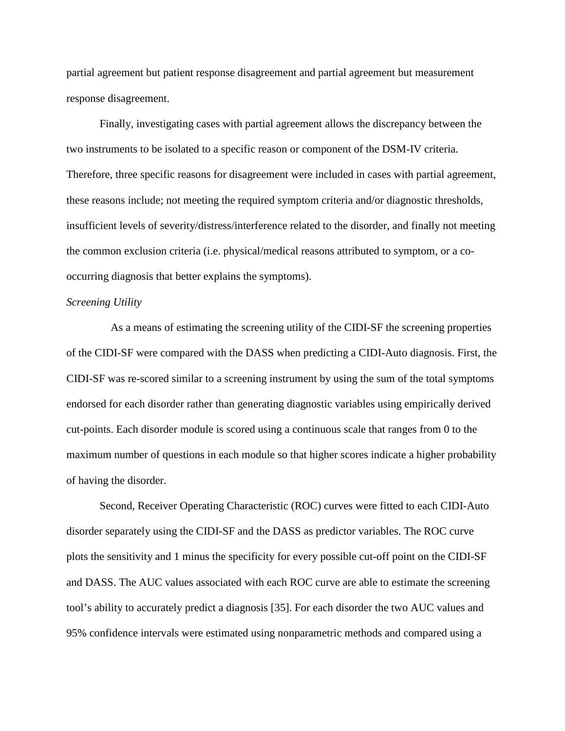partial agreement but patient response disagreement and partial agreement but measurement response disagreement.

Finally, investigating cases with partial agreement allows the discrepancy between the two instruments to be isolated to a specific reason or component of the DSM-IV criteria. Therefore, three specific reasons for disagreement were included in cases with partial agreement, these reasons include; not meeting the required symptom criteria and/or diagnostic thresholds, insufficient levels of severity/distress/interference related to the disorder, and finally not meeting the common exclusion criteria (i.e. physical/medical reasons attributed to symptom, or a cooccurring diagnosis that better explains the symptoms).

#### *Screening Utility*

 As a means of estimating the screening utility of the CIDI-SF the screening properties of the CIDI-SF were compared with the DASS when predicting a CIDI-Auto diagnosis. First, the CIDI-SF was re-scored similar to a screening instrument by using the sum of the total symptoms endorsed for each disorder rather than generating diagnostic variables using empirically derived cut-points. Each disorder module is scored using a continuous scale that ranges from 0 to the maximum number of questions in each module so that higher scores indicate a higher probability of having the disorder.

Second, Receiver Operating Characteristic (ROC) curves were fitted to each CIDI-Auto disorder separately using the CIDI-SF and the DASS as predictor variables. The ROC curve plots the sensitivity and 1 minus the specificity for every possible cut-off point on the CIDI-SF and DASS. The AUC values associated with each ROC curve are able to estimate the screening tool's ability to accurately predict a diagnosis [35]. For each disorder the two AUC values and 95% confidence intervals were estimated using nonparametric methods and compared using a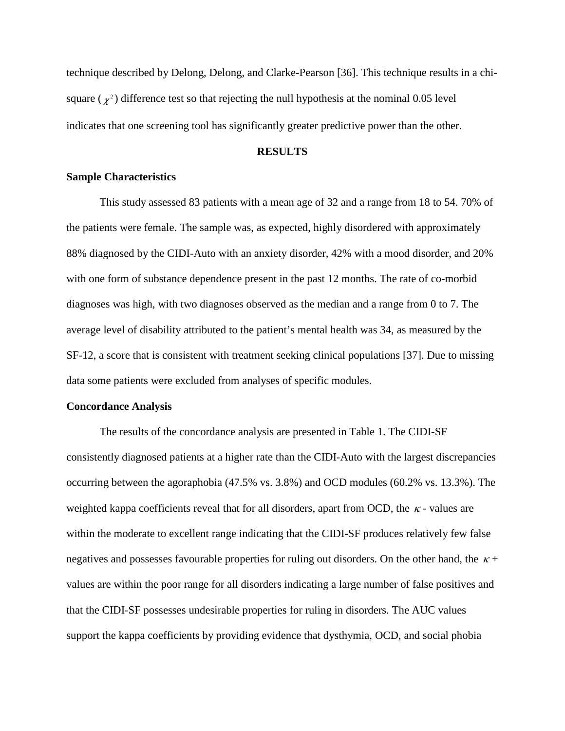technique described by Delong, Delong, and Clarke-Pearson [36]. This technique results in a chisquare ( $\chi^2$ ) difference test so that rejecting the null hypothesis at the nominal 0.05 level indicates that one screening tool has significantly greater predictive power than the other.

#### **RESULTS**

#### **Sample Characteristics**

This study assessed 83 patients with a mean age of 32 and a range from 18 to 54. 70% of the patients were female. The sample was, as expected, highly disordered with approximately 88% diagnosed by the CIDI-Auto with an anxiety disorder, 42% with a mood disorder, and 20% with one form of substance dependence present in the past 12 months. The rate of co-morbid diagnoses was high, with two diagnoses observed as the median and a range from 0 to 7. The average level of disability attributed to the patient's mental health was 34, as measured by the SF-12, a score that is consistent with treatment seeking clinical populations [37]. Due to missing data some patients were excluded from analyses of specific modules.

#### **Concordance Analysis**

The results of the concordance analysis are presented in Table 1. The CIDI-SF consistently diagnosed patients at a higher rate than the CIDI-Auto with the largest discrepancies occurring between the agoraphobia (47.5% vs. 3.8%) and OCD modules (60.2% vs. 13.3%). The weighted kappa coefficients reveal that for all disorders, apart from OCD, the  $\kappa$ -values are within the moderate to excellent range indicating that the CIDI-SF produces relatively few false negatives and possesses favourable properties for ruling out disorders. On the other hand, the  $\kappa$ + values are within the poor range for all disorders indicating a large number of false positives and that the CIDI-SF possesses undesirable properties for ruling in disorders. The AUC values support the kappa coefficients by providing evidence that dysthymia, OCD, and social phobia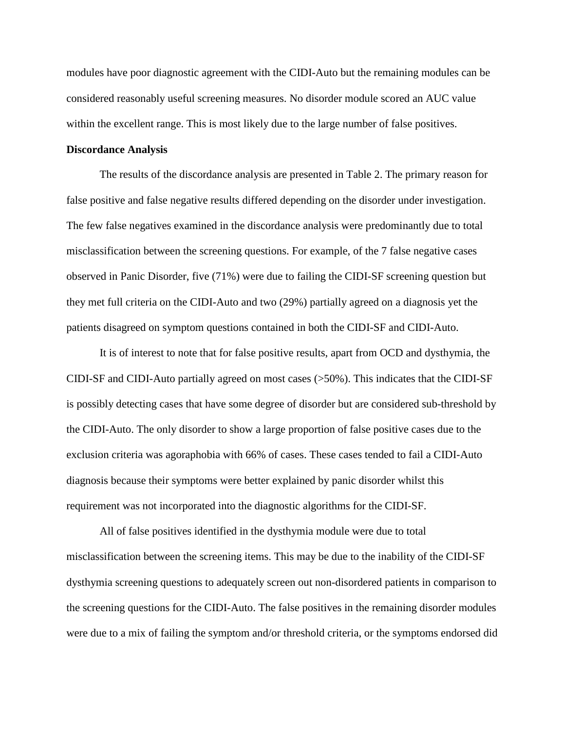modules have poor diagnostic agreement with the CIDI-Auto but the remaining modules can be considered reasonably useful screening measures. No disorder module scored an AUC value within the excellent range. This is most likely due to the large number of false positives.

#### **Discordance Analysis**

The results of the discordance analysis are presented in Table 2. The primary reason for false positive and false negative results differed depending on the disorder under investigation. The few false negatives examined in the discordance analysis were predominantly due to total misclassification between the screening questions. For example, of the 7 false negative cases observed in Panic Disorder, five (71%) were due to failing the CIDI-SF screening question but they met full criteria on the CIDI-Auto and two (29%) partially agreed on a diagnosis yet the patients disagreed on symptom questions contained in both the CIDI-SF and CIDI-Auto.

It is of interest to note that for false positive results, apart from OCD and dysthymia, the CIDI-SF and CIDI-Auto partially agreed on most cases (>50%). This indicates that the CIDI-SF is possibly detecting cases that have some degree of disorder but are considered sub-threshold by the CIDI-Auto. The only disorder to show a large proportion of false positive cases due to the exclusion criteria was agoraphobia with 66% of cases. These cases tended to fail a CIDI-Auto diagnosis because their symptoms were better explained by panic disorder whilst this requirement was not incorporated into the diagnostic algorithms for the CIDI-SF.

All of false positives identified in the dysthymia module were due to total misclassification between the screening items. This may be due to the inability of the CIDI-SF dysthymia screening questions to adequately screen out non-disordered patients in comparison to the screening questions for the CIDI-Auto. The false positives in the remaining disorder modules were due to a mix of failing the symptom and/or threshold criteria, or the symptoms endorsed did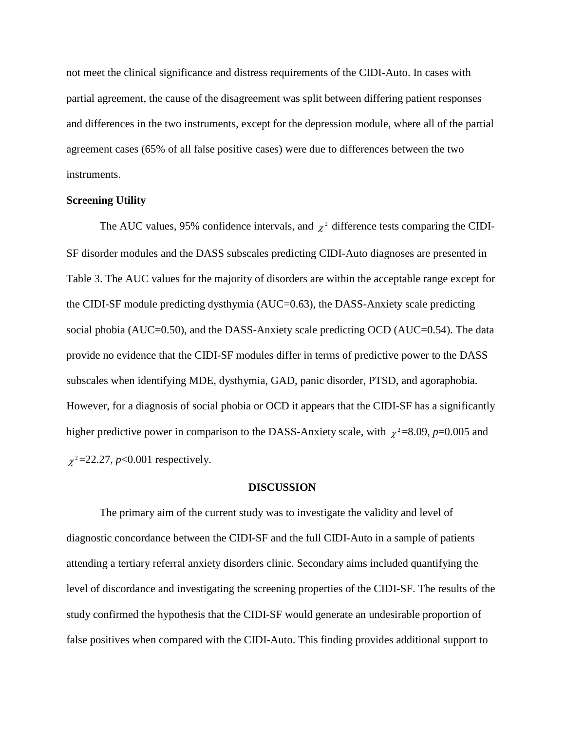not meet the clinical significance and distress requirements of the CIDI-Auto. In cases with partial agreement, the cause of the disagreement was split between differing patient responses and differences in the two instruments, except for the depression module, where all of the partial agreement cases (65% of all false positive cases) were due to differences between the two instruments.

#### **Screening Utility**

The AUC values, 95% confidence intervals, and  $\chi^2$  difference tests comparing the CIDI-SF disorder modules and the DASS subscales predicting CIDI-Auto diagnoses are presented in Table 3. The AUC values for the majority of disorders are within the acceptable range except for the CIDI-SF module predicting dysthymia (AUC=0.63), the DASS-Anxiety scale predicting social phobia (AUC=0.50), and the DASS-Anxiety scale predicting OCD (AUC=0.54). The data provide no evidence that the CIDI-SF modules differ in terms of predictive power to the DASS subscales when identifying MDE, dysthymia, GAD, panic disorder, PTSD, and agoraphobia. However, for a diagnosis of social phobia or OCD it appears that the CIDI-SF has a significantly higher predictive power in comparison to the DASS-Anxiety scale, with  $\chi^2$ =8.09, *p*=0.005 and  $\chi^2$ =22.27, *p*<0.001 respectively.

#### **DISCUSSION**

The primary aim of the current study was to investigate the validity and level of diagnostic concordance between the CIDI-SF and the full CIDI-Auto in a sample of patients attending a tertiary referral anxiety disorders clinic. Secondary aims included quantifying the level of discordance and investigating the screening properties of the CIDI-SF. The results of the study confirmed the hypothesis that the CIDI-SF would generate an undesirable proportion of false positives when compared with the CIDI-Auto. This finding provides additional support to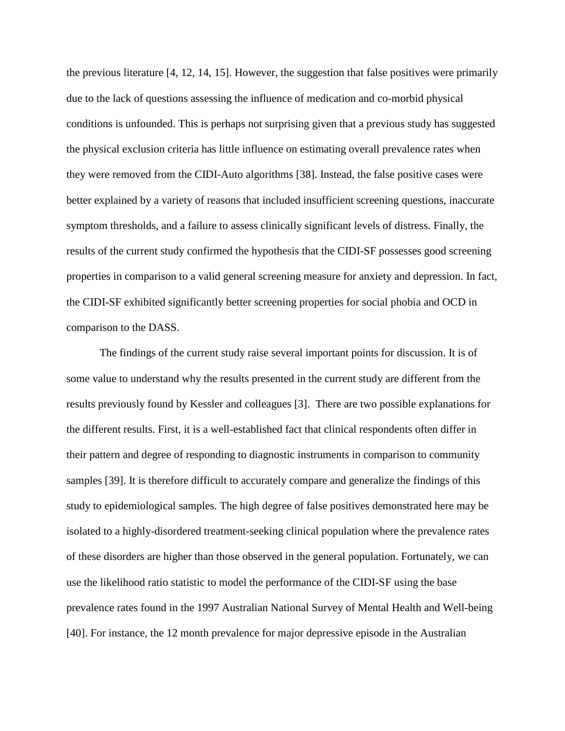the previous literature [4, 12, 14, 15]. However, the suggestion that false positives were primarily due to the lack of questions assessing the influence of medication and co-morbid physical conditions is unfounded. This is perhaps not surprising given that a previous study has suggested the physical exclusion criteria has little influence on estimating overall prevalence rates when they were removed from the CIDI-Auto algorithms [38]. Instead, the false positive cases were better explained by a variety of reasons that included insufficient screening questions, inaccurate symptom thresholds, and a failure to assess clinically significant levels of distress. Finally, the results of the current study confirmed the hypothesis that the CIDI-SF possesses good screening properties in comparison to a valid general screening measure for anxiety and depression. In fact, the CIDI-SF exhibited significantly better screening properties for social phobia and OCD in comparison to the DASS.

The findings of the current study raise several important points for discussion. It is of some value to understand why the results presented in the current study are different from the results previously found by Kessler and colleagues [3]. There are two possible explanations for the different results. First, it is a well-established fact that clinical respondents often differ in their pattern and degree of responding to diagnostic instruments in comparison to community samples [39]. It is therefore difficult to accurately compare and generalize the findings of this study to epidemiological samples. The high degree of false positives demonstrated here may be isolated to a highly-disordered treatment-seeking clinical population where the prevalence rates of these disorders are higher than those observed in the general population. Fortunately, we can use the likelihood ratio statistic to model the performance of the CIDI-SF using the base prevalence rates found in the 1997 Australian National Survey of Mental Health and Well-being [40]. For instance, the 12 month prevalence for major depressive episode in the Australian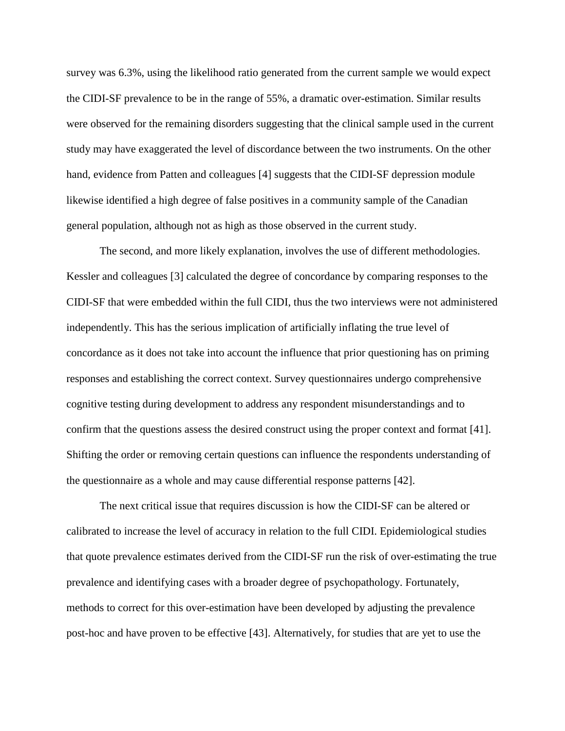survey was 6.3%, using the likelihood ratio generated from the current sample we would expect the CIDI-SF prevalence to be in the range of 55%, a dramatic over-estimation. Similar results were observed for the remaining disorders suggesting that the clinical sample used in the current study may have exaggerated the level of discordance between the two instruments. On the other hand, evidence from Patten and colleagues [4] suggests that the CIDI-SF depression module likewise identified a high degree of false positives in a community sample of the Canadian general population, although not as high as those observed in the current study.

 The second, and more likely explanation, involves the use of different methodologies. Kessler and colleagues [3] calculated the degree of concordance by comparing responses to the CIDI-SF that were embedded within the full CIDI, thus the two interviews were not administered independently. This has the serious implication of artificially inflating the true level of concordance as it does not take into account the influence that prior questioning has on priming responses and establishing the correct context. Survey questionnaires undergo comprehensive cognitive testing during development to address any respondent misunderstandings and to confirm that the questions assess the desired construct using the proper context and format [41]. Shifting the order or removing certain questions can influence the respondents understanding of the questionnaire as a whole and may cause differential response patterns [42].

The next critical issue that requires discussion is how the CIDI-SF can be altered or calibrated to increase the level of accuracy in relation to the full CIDI. Epidemiological studies that quote prevalence estimates derived from the CIDI-SF run the risk of over-estimating the true prevalence and identifying cases with a broader degree of psychopathology. Fortunately, methods to correct for this over-estimation have been developed by adjusting the prevalence post-hoc and have proven to be effective [43]. Alternatively, for studies that are yet to use the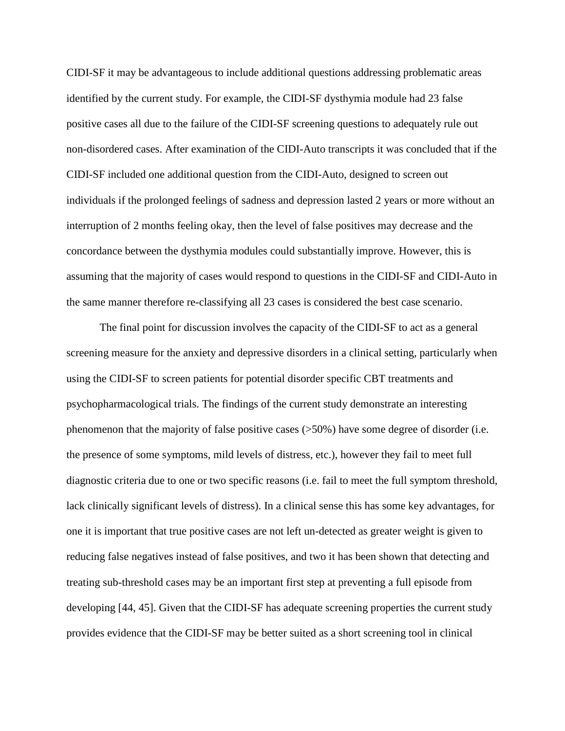CIDI-SF it may be advantageous to include additional questions addressing problematic areas identified by the current study. For example, the CIDI-SF dysthymia module had 23 false positive cases all due to the failure of the CIDI-SF screening questions to adequately rule out non-disordered cases. After examination of the CIDI-Auto transcripts it was concluded that if the CIDI-SF included one additional question from the CIDI-Auto, designed to screen out individuals if the prolonged feelings of sadness and depression lasted 2 years or more without an interruption of 2 months feeling okay, then the level of false positives may decrease and the concordance between the dysthymia modules could substantially improve. However, this is assuming that the majority of cases would respond to questions in the CIDI-SF and CIDI-Auto in the same manner therefore re-classifying all 23 cases is considered the best case scenario.

 The final point for discussion involves the capacity of the CIDI-SF to act as a general screening measure for the anxiety and depressive disorders in a clinical setting, particularly when using the CIDI-SF to screen patients for potential disorder specific CBT treatments and psychopharmacological trials. The findings of the current study demonstrate an interesting phenomenon that the majority of false positive cases (>50%) have some degree of disorder (i.e. the presence of some symptoms, mild levels of distress, etc.), however they fail to meet full diagnostic criteria due to one or two specific reasons (i.e. fail to meet the full symptom threshold, lack clinically significant levels of distress). In a clinical sense this has some key advantages, for one it is important that true positive cases are not left un-detected as greater weight is given to reducing false negatives instead of false positives, and two it has been shown that detecting and treating sub-threshold cases may be an important first step at preventing a full episode from developing [44, 45]. Given that the CIDI-SF has adequate screening properties the current study provides evidence that the CIDI-SF may be better suited as a short screening tool in clinical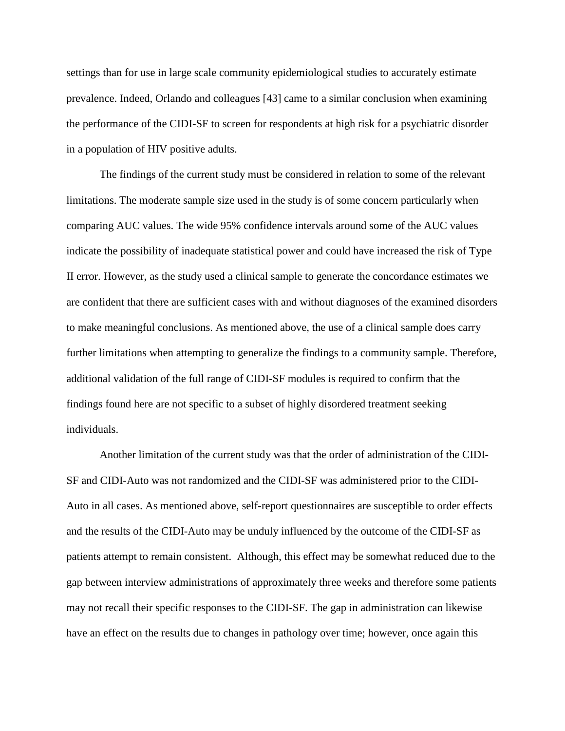settings than for use in large scale community epidemiological studies to accurately estimate prevalence. Indeed, Orlando and colleagues [43] came to a similar conclusion when examining the performance of the CIDI-SF to screen for respondents at high risk for a psychiatric disorder in a population of HIV positive adults.

 The findings of the current study must be considered in relation to some of the relevant limitations. The moderate sample size used in the study is of some concern particularly when comparing AUC values. The wide 95% confidence intervals around some of the AUC values indicate the possibility of inadequate statistical power and could have increased the risk of Type II error. However, as the study used a clinical sample to generate the concordance estimates we are confident that there are sufficient cases with and without diagnoses of the examined disorders to make meaningful conclusions. As mentioned above, the use of a clinical sample does carry further limitations when attempting to generalize the findings to a community sample. Therefore, additional validation of the full range of CIDI-SF modules is required to confirm that the findings found here are not specific to a subset of highly disordered treatment seeking individuals.

Another limitation of the current study was that the order of administration of the CIDI-SF and CIDI-Auto was not randomized and the CIDI-SF was administered prior to the CIDI-Auto in all cases. As mentioned above, self-report questionnaires are susceptible to order effects and the results of the CIDI-Auto may be unduly influenced by the outcome of the CIDI-SF as patients attempt to remain consistent. Although, this effect may be somewhat reduced due to the gap between interview administrations of approximately three weeks and therefore some patients may not recall their specific responses to the CIDI-SF. The gap in administration can likewise have an effect on the results due to changes in pathology over time; however, once again this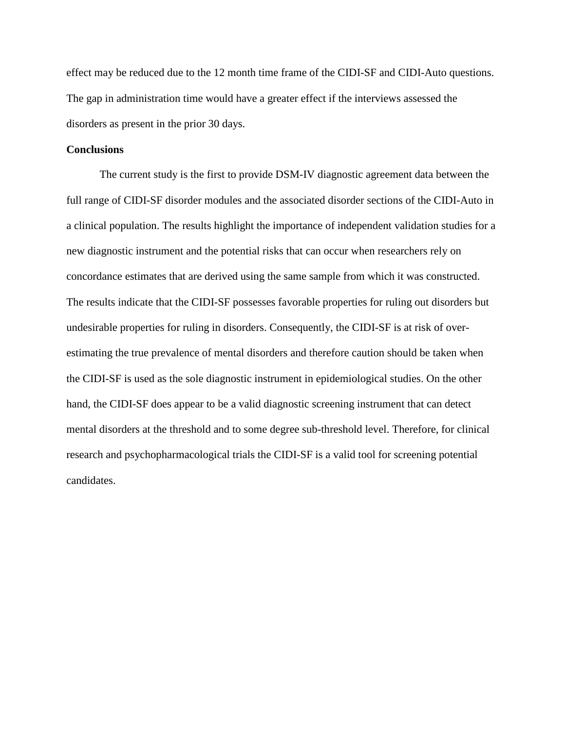effect may be reduced due to the 12 month time frame of the CIDI-SF and CIDI-Auto questions. The gap in administration time would have a greater effect if the interviews assessed the disorders as present in the prior 30 days.

#### **Conclusions**

 The current study is the first to provide DSM-IV diagnostic agreement data between the full range of CIDI-SF disorder modules and the associated disorder sections of the CIDI-Auto in a clinical population. The results highlight the importance of independent validation studies for a new diagnostic instrument and the potential risks that can occur when researchers rely on concordance estimates that are derived using the same sample from which it was constructed. The results indicate that the CIDI-SF possesses favorable properties for ruling out disorders but undesirable properties for ruling in disorders. Consequently, the CIDI-SF is at risk of overestimating the true prevalence of mental disorders and therefore caution should be taken when the CIDI-SF is used as the sole diagnostic instrument in epidemiological studies. On the other hand, the CIDI-SF does appear to be a valid diagnostic screening instrument that can detect mental disorders at the threshold and to some degree sub-threshold level. Therefore, for clinical research and psychopharmacological trials the CIDI-SF is a valid tool for screening potential candidates.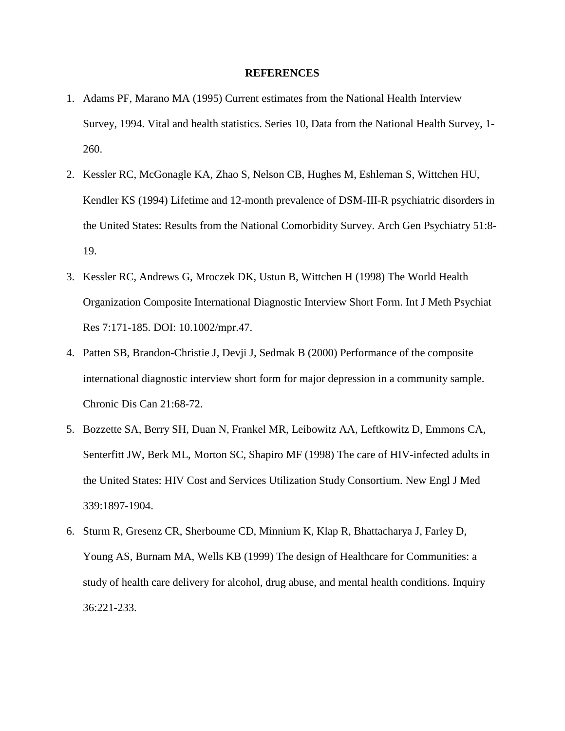#### **REFERENCES**

- 1. Adams PF, Marano MA (1995) Current estimates from the National Health Interview Survey, 1994. Vital and health statistics. Series 10, Data from the National Health Survey, 1- 260.
- 2. Kessler RC, McGonagle KA, Zhao S, Nelson CB, Hughes M, Eshleman S, Wittchen HU, Kendler KS (1994) Lifetime and 12-month prevalence of DSM-III-R psychiatric disorders in the United States: Results from the National Comorbidity Survey. Arch Gen Psychiatry 51:8- 19.
- 3. Kessler RC, Andrews G, Mroczek DK, Ustun B, Wittchen H (1998) The World Health Organization Composite International Diagnostic Interview Short Form. Int J Meth Psychiat Res 7:171-185. DOI: 10.1002/mpr.47.
- 4. Patten SB, Brandon-Christie J, Devji J, Sedmak B (2000) Performance of the composite international diagnostic interview short form for major depression in a community sample. Chronic Dis Can 21:68-72.
- 5. Bozzette SA, Berry SH, Duan N, Frankel MR, Leibowitz AA, Leftkowitz D, Emmons CA, Senterfitt JW, Berk ML, Morton SC, Shapiro MF (1998) The care of HIV-infected adults in the United States: HIV Cost and Services Utilization Study Consortium. New Engl J Med 339:1897-1904.
- 6. Sturm R, Gresenz CR, Sherboume CD, Minnium K, Klap R, Bhattacharya J, Farley D, Young AS, Burnam MA, Wells KB (1999) The design of Healthcare for Communities: a study of health care delivery for alcohol, drug abuse, and mental health conditions. Inquiry 36:221-233.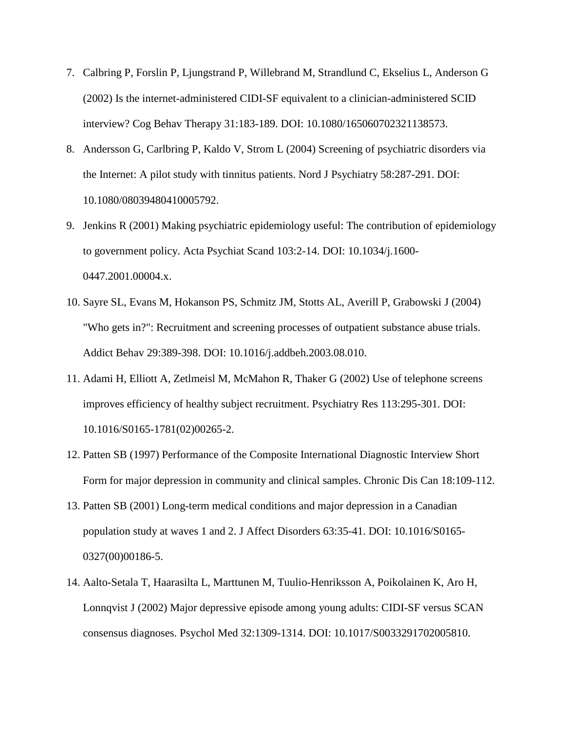- 7. Calbring P, Forslin P, Ljungstrand P, Willebrand M, Strandlund C, Ekselius L, Anderson G (2002) Is the internet-administered CIDI-SF equivalent to a clinician-administered SCID interview? Cog Behav Therapy 31:183-189. DOI: 10.1080/165060702321138573.
- 8. Andersson G, Carlbring P, Kaldo V, Strom L (2004) Screening of psychiatric disorders via the Internet: A pilot study with tinnitus patients. Nord J Psychiatry 58:287-291. DOI: 10.1080/08039480410005792.
- 9. Jenkins R (2001) Making psychiatric epidemiology useful: The contribution of epidemiology to government policy. Acta Psychiat Scand 103:2-14. DOI: 10.1034/j.1600- 0447.2001.00004.x.
- 10. Sayre SL, Evans M, Hokanson PS, Schmitz JM, Stotts AL, Averill P, Grabowski J (2004) "Who gets in?": Recruitment and screening processes of outpatient substance abuse trials. Addict Behav 29:389-398. DOI: 10.1016/j.addbeh.2003.08.010.
- 11. Adami H, Elliott A, Zetlmeisl M, McMahon R, Thaker G (2002) Use of telephone screens improves efficiency of healthy subject recruitment. Psychiatry Res 113:295-301. DOI: 10.1016/S0165-1781(02)00265-2.
- 12. Patten SB (1997) Performance of the Composite International Diagnostic Interview Short Form for major depression in community and clinical samples. Chronic Dis Can 18:109-112.
- 13. Patten SB (2001) Long-term medical conditions and major depression in a Canadian population study at waves 1 and 2. J Affect Disorders 63:35-41. DOI: 10.1016/S0165- 0327(00)00186-5.
- 14. Aalto-Setala T, Haarasilta L, Marttunen M, Tuulio-Henriksson A, Poikolainen K, Aro H, Lonnqvist J (2002) Major depressive episode among young adults: CIDI-SF versus SCAN consensus diagnoses. Psychol Med 32:1309-1314. DOI: 10.1017/S0033291702005810.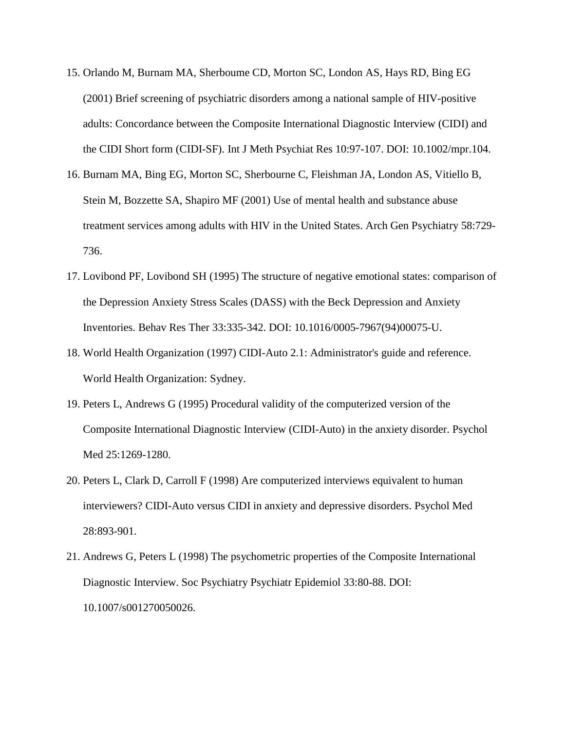- 15. Orlando M, Burnam MA, Sherboume CD, Morton SC, London AS, Hays RD, Bing EG (2001) Brief screening of psychiatric disorders among a national sample of HIV-positive adults: Concordance between the Composite International Diagnostic Interview (CIDI) and the CIDI Short form (CIDI-SF). Int J Meth Psychiat Res 10:97-107. DOI: 10.1002/mpr.104.
- 16. Burnam MA, Bing EG, Morton SC, Sherbourne C, Fleishman JA, London AS, Vitiello B, Stein M, Bozzette SA, Shapiro MF (2001) Use of mental health and substance abuse treatment services among adults with HIV in the United States. Arch Gen Psychiatry 58:729- 736.
- 17. Lovibond PF, Lovibond SH (1995) The structure of negative emotional states: comparison of the Depression Anxiety Stress Scales (DASS) with the Beck Depression and Anxiety Inventories. Behav Res Ther 33:335-342. DOI: 10.1016/0005-7967(94)00075-U.
- 18. World Health Organization (1997) CIDI-Auto 2.1: Administrator's guide and reference. World Health Organization: Sydney.
- 19. Peters L, Andrews G (1995) Procedural validity of the computerized version of the Composite International Diagnostic Interview (CIDI-Auto) in the anxiety disorder. Psychol Med 25:1269-1280.
- 20. Peters L, Clark D, Carroll F (1998) Are computerized interviews equivalent to human interviewers? CIDI-Auto versus CIDI in anxiety and depressive disorders. Psychol Med 28:893-901.
- 21. Andrews G, Peters L (1998) The psychometric properties of the Composite International Diagnostic Interview. Soc Psychiatry Psychiatr Epidemiol 33:80-88. DOI: 10.1007/s001270050026.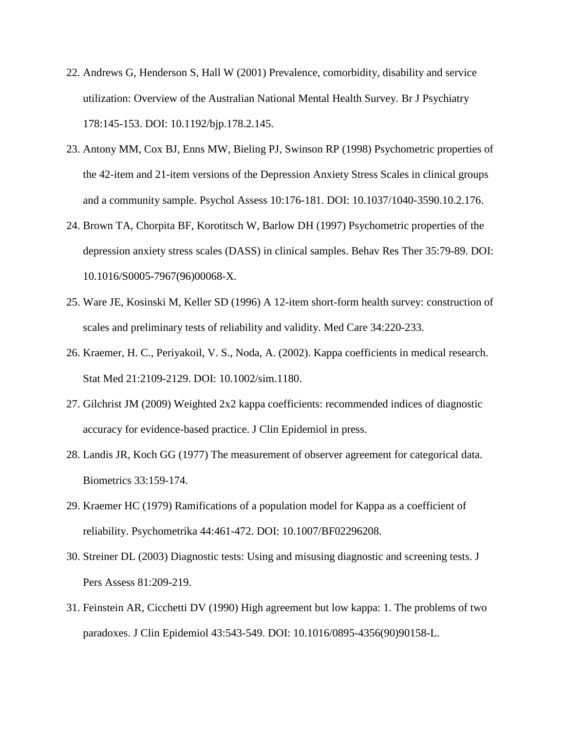- 22. Andrews G, Henderson S, Hall W (2001) Prevalence, comorbidity, disability and service utilization: Overview of the Australian National Mental Health Survey. Br J Psychiatry 178:145-153. DOI: 10.1192/bjp.178.2.145.
- 23. Antony MM, Cox BJ, Enns MW, Bieling PJ, Swinson RP (1998) Psychometric properties of the 42-item and 21-item versions of the Depression Anxiety Stress Scales in clinical groups and a community sample. Psychol Assess 10:176-181. DOI: 10.1037/1040-3590.10.2.176.
- 24. Brown TA, Chorpita BF, Korotitsch W, Barlow DH (1997) Psychometric properties of the depression anxiety stress scales (DASS) in clinical samples. Behav Res Ther 35:79-89. DOI: 10.1016/S0005-7967(96)00068-X.
- 25. Ware JE, Kosinski M, Keller SD (1996) A 12-item short-form health survey: construction of scales and preliminary tests of reliability and validity. Med Care 34:220-233.
- 26. Kraemer, H. C., Periyakoil, V. S., Noda, A. (2002). Kappa coefficients in medical research. Stat Med 21:2109-2129. DOI: 10.1002/sim.1180.
- 27. Gilchrist JM (2009) Weighted 2x2 kappa coefficients: recommended indices of diagnostic accuracy for evidence-based practice. J Clin Epidemiol in press.
- 28. Landis JR, Koch GG (1977) The measurement of observer agreement for categorical data. Biometrics 33:159-174.
- 29. Kraemer HC (1979) Ramifications of a population model for Kappa as a coefficient of reliability. Psychometrika 44:461-472. DOI: 10.1007/BF02296208.
- 30. Streiner DL (2003) Diagnostic tests: Using and misusing diagnostic and screening tests. J Pers Assess 81:209-219.
- 31. Feinstein AR, Cicchetti DV (1990) High agreement but low kappa: 1. The problems of two paradoxes. J Clin Epidemiol 43:543-549. DOI: 10.1016/0895-4356(90)90158-L.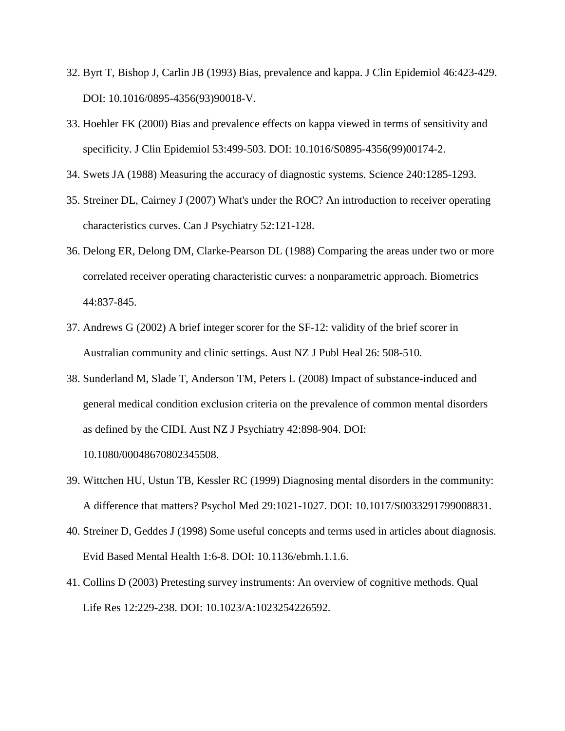- 32. Byrt T, Bishop J, Carlin JB (1993) Bias, prevalence and kappa. J Clin Epidemiol 46:423-429. DOI: 10.1016/0895-4356(93)90018-V.
- 33. Hoehler FK (2000) Bias and prevalence effects on kappa viewed in terms of sensitivity and specificity. J Clin Epidemiol 53:499-503. DOI: 10.1016/S0895-4356(99)00174-2.
- 34. Swets JA (1988) Measuring the accuracy of diagnostic systems. Science 240:1285-1293.
- 35. Streiner DL, Cairney J (2007) What's under the ROC? An introduction to receiver operating characteristics curves. Can J Psychiatry 52:121-128.
- 36. Delong ER, Delong DM, Clarke-Pearson DL (1988) Comparing the areas under two or more correlated receiver operating characteristic curves: a nonparametric approach. Biometrics 44:837-845.
- 37. Andrews G (2002) A brief integer scorer for the SF-12: validity of the brief scorer in Australian community and clinic settings. Aust NZ J Publ Heal 26: 508-510.
- 38. Sunderland M, Slade T, Anderson TM, Peters L (2008) Impact of substance-induced and general medical condition exclusion criteria on the prevalence of common mental disorders as defined by the CIDI. Aust NZ J Psychiatry 42:898-904. DOI:
	- 10.1080/00048670802345508.
- 39. Wittchen HU, Ustun TB, Kessler RC (1999) Diagnosing mental disorders in the community: A difference that matters? Psychol Med 29:1021-1027. DOI: 10.1017/S0033291799008831.
- 40. Streiner D, Geddes J (1998) Some useful concepts and terms used in articles about diagnosis. Evid Based Mental Health 1:6-8. DOI: 10.1136/ebmh.1.1.6.
- 41. Collins D (2003) Pretesting survey instruments: An overview of cognitive methods. Qual Life Res 12:229-238. DOI: 10.1023/A:1023254226592.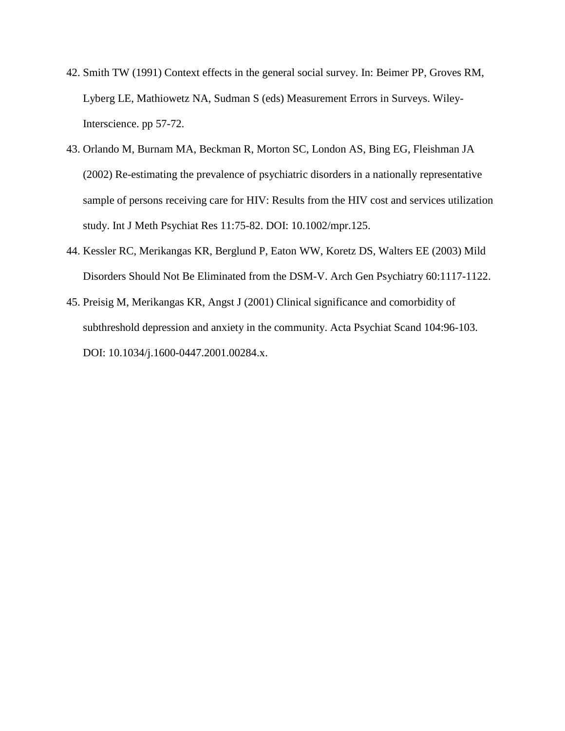- 42. Smith TW (1991) Context effects in the general social survey. In: Beimer PP, Groves RM, Lyberg LE, Mathiowetz NA, Sudman S (eds) Measurement Errors in Surveys. Wiley-Interscience. pp 57-72.
- 43. Orlando M, Burnam MA, Beckman R, Morton SC, London AS, Bing EG, Fleishman JA (2002) Re-estimating the prevalence of psychiatric disorders in a nationally representative sample of persons receiving care for HIV: Results from the HIV cost and services utilization study. Int J Meth Psychiat Res 11:75-82. DOI: 10.1002/mpr.125.
- 44. Kessler RC, Merikangas KR, Berglund P, Eaton WW, Koretz DS, Walters EE (2003) Mild Disorders Should Not Be Eliminated from the DSM-V. Arch Gen Psychiatry 60:1117-1122.
- 45. Preisig M, Merikangas KR, Angst J (2001) Clinical significance and comorbidity of subthreshold depression and anxiety in the community. Acta Psychiat Scand 104:96-103. DOI: 10.1034/j.1600-0447.2001.00284.x.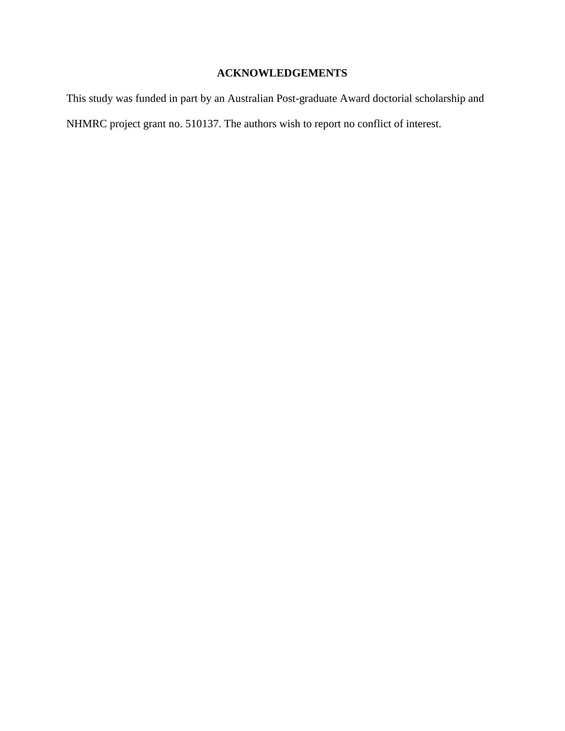## **ACKNOWLEDGEMENTS**

This study was funded in part by an Australian Post-graduate Award doctorial scholarship and NHMRC project grant no. 510137. The authors wish to report no conflict of interest.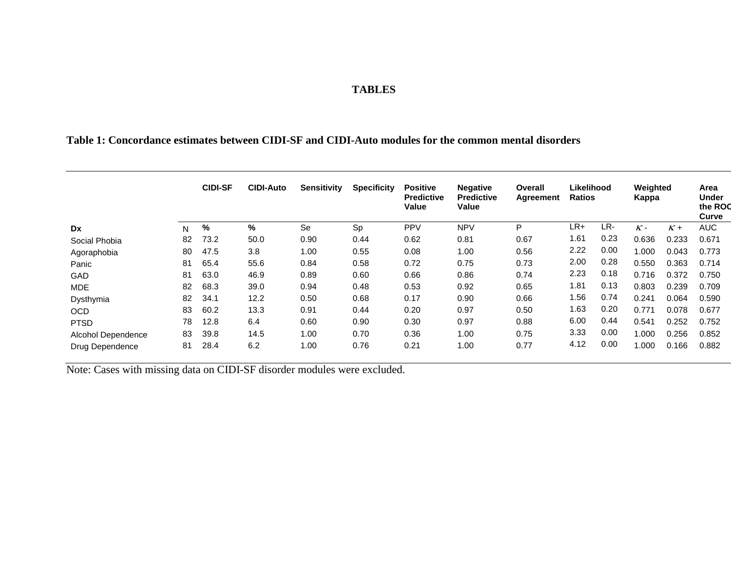### **TABLES**

## **Table 1: Concordance estimates between CIDI-SF and CIDI-Auto modules for the common mental disorders**

|                    |    | <b>CIDI-SF</b> | <b>CIDI-Auto</b> | Sensitivity | <b>Specificity</b> | <b>Positive</b><br><b>Predictive</b><br>Value | <b>Negative</b><br><b>Predictive</b><br>Value | Overall<br>Agreement | Likelihood<br><b>Ratios</b> |      | Weighted<br>Kappa |       | Area<br><b>Under</b><br>the ROO<br>Curve |
|--------------------|----|----------------|------------------|-------------|--------------------|-----------------------------------------------|-----------------------------------------------|----------------------|-----------------------------|------|-------------------|-------|------------------------------------------|
| <b>Dx</b>          | N  | %              | %                | Se          | Sp                 | <b>PPV</b>                                    | <b>NPV</b>                                    | P                    | LR+                         | LR-  | $K -$             | $K +$ | <b>AUC</b>                               |
| Social Phobia      | 82 | 73.2           | 50.0             | 0.90        | 0.44               | 0.62                                          | 0.81                                          | 0.67                 | 1.61                        | 0.23 | 0.636             | 0.233 | 0.671                                    |
| Agoraphobia        | 80 | 47.5           | 3.8              | 1.00        | 0.55               | 0.08                                          | 1.00                                          | 0.56                 | 2.22                        | 0.00 | 1.000             | 0.043 | 0.773                                    |
| Panic              | 81 | 65.4           | 55.6             | 0.84        | 0.58               | 0.72                                          | 0.75                                          | 0.73                 | 2.00                        | 0.28 | 0.550             | 0.363 | 0.714                                    |
| <b>GAD</b>         | 81 | 63.0           | 46.9             | 0.89        | 0.60               | 0.66                                          | 0.86                                          | 0.74                 | 2.23                        | 0.18 | 0.716             | 0.372 | 0.750                                    |
| <b>MDE</b>         | 82 | 68.3           | 39.0             | 0.94        | 0.48               | 0.53                                          | 0.92                                          | 0.65                 | 1.81                        | 0.13 | 0.803             | 0.239 | 0.709                                    |
| Dysthymia          | 82 | 34.1           | 12.2             | 0.50        | 0.68               | 0.17                                          | 0.90                                          | 0.66                 | 1.56                        | 0.74 | 0.241             | 0.064 | 0.590                                    |
| <b>OCD</b>         | 83 | 60.2           | 13.3             | 0.91        | 0.44               | 0.20                                          | 0.97                                          | 0.50                 | 1.63                        | 0.20 | 0.771             | 0.078 | 0.677                                    |
| <b>PTSD</b>        | 78 | 12.8           | 6.4              | 0.60        | 0.90               | 0.30                                          | 0.97                                          | 0.88                 | 6.00                        | 0.44 | 0.541             | 0.252 | 0.752                                    |
| Alcohol Dependence | 83 | 39.8           | 14.5             | 1.00        | 0.70               | 0.36                                          | 1.00                                          | 0.75                 | 3.33                        | 0.00 | 1.000             | 0.256 | 0.852                                    |
| Drug Dependence    | 81 | 28.4           | 6.2              | 1.00        | 0.76               | 0.21                                          | 1.00                                          | 0.77                 | 4.12                        | 0.00 | 1.000             | 0.166 | 0.882                                    |

Note: Cases with missing data on CIDI-SF disorder modules were excluded.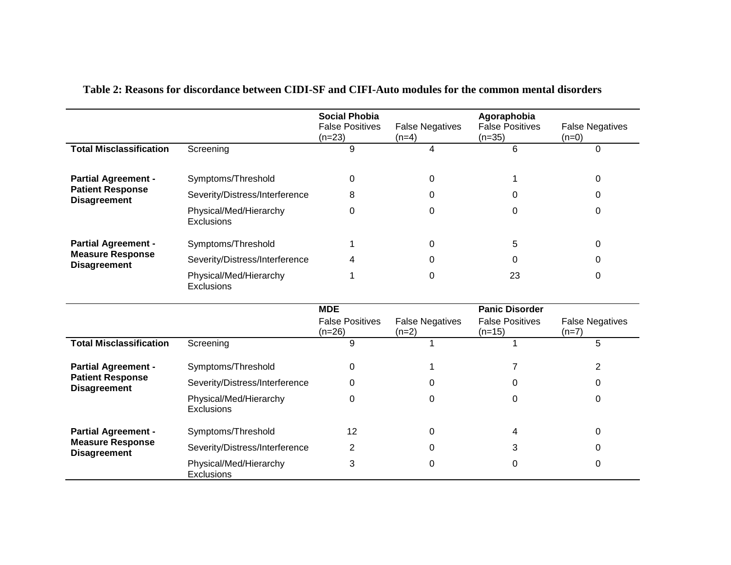|                                                |                                      | <b>Social Phobia</b><br><b>False Positives</b><br>$(n=23)$ | <b>False Negatives</b><br>$(n=4)$ | Agoraphobia<br><b>False Positives</b><br>$(n=35)$ | <b>False Negatives</b><br>$(n=0)$ |
|------------------------------------------------|--------------------------------------|------------------------------------------------------------|-----------------------------------|---------------------------------------------------|-----------------------------------|
| <b>Total Misclassification</b>                 | Screening                            | 9                                                          | 4                                 | 6                                                 | 0                                 |
| <b>Partial Agreement -</b>                     | Symptoms/Threshold                   | 0                                                          | 0                                 |                                                   | 0                                 |
| <b>Patient Response</b><br><b>Disagreement</b> | Severity/Distress/Interference       | 8                                                          | 0                                 | 0                                                 | 0                                 |
|                                                | Physical/Med/Hierarchy<br>Exclusions | 0                                                          | 0                                 | 0                                                 | 0                                 |
| <b>Partial Agreement -</b>                     | Symptoms/Threshold                   |                                                            | 0                                 | 5                                                 | 0                                 |
| <b>Measure Response</b><br><b>Disagreement</b> | Severity/Distress/Interference       | 4                                                          | 0                                 | 0                                                 | 0                                 |
|                                                | Physical/Med/Hierarchy<br>Exclusions |                                                            | 0                                 | 23                                                | 0                                 |
|                                                |                                      | <b>MDE</b>                                                 |                                   | <b>Panic Disorder</b>                             |                                   |
|                                                |                                      | <b>False Positives</b><br>$(n=26)$                         | <b>False Negatives</b><br>$(n=2)$ | <b>False Positives</b><br>$(n=15)$                | <b>False Negatives</b><br>$(n=7)$ |
| <b>Total Misclassification</b>                 | Screening                            | 9                                                          |                                   |                                                   | 5                                 |
| <b>Partial Agreement -</b>                     | Symptoms/Threshold                   | 0                                                          |                                   | 7                                                 | $\overline{2}$                    |
| <b>Patient Response</b><br><b>Disagreement</b> | Severity/Distress/Interference       | 0                                                          | 0                                 | 0                                                 | 0                                 |
|                                                | Physical/Med/Hierarchy<br>Exclusions | $\Omega$                                                   | 0                                 | $\Omega$                                          | 0                                 |
| <b>Partial Agreement -</b>                     | Symptoms/Threshold                   | 12                                                         | 0                                 | 4                                                 | 0                                 |
| <b>Measure Response</b><br><b>Disagreement</b> | Severity/Distress/Interference       | 2                                                          | 0                                 | 3                                                 | 0                                 |
|                                                | Physical/Med/Hierarchy<br>Exclusions | 3                                                          | 0                                 | 0                                                 | 0                                 |

## **Table 2: Reasons for discordance between CIDI-SF and CIFI-Auto modules for the common mental disorders**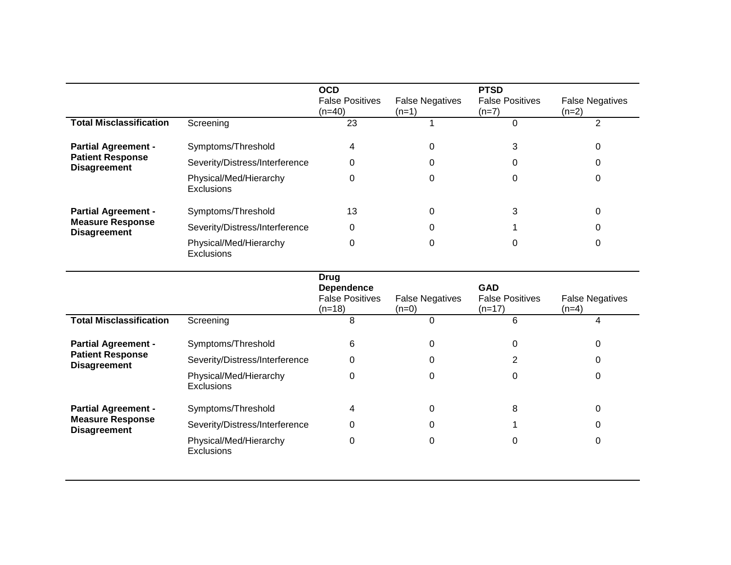|                                             | <b>OCD</b><br><b>False Positives</b><br>$(n=40)$ | <b>False Negatives</b><br>$(n=1)$ | <b>PTSD</b><br><b>False Positives</b><br>$(n=7)$ | <b>False Negatives</b><br>$(n=2)$ |
|---------------------------------------------|--------------------------------------------------|-----------------------------------|--------------------------------------------------|-----------------------------------|
| Screening                                   | 23                                               |                                   | 0                                                | 2                                 |
| Symptoms/Threshold                          | 4                                                | 0                                 | 3                                                | 0                                 |
| Severity/Distress/Interference              | 0                                                | 0                                 |                                                  | C                                 |
| Physical/Med/Hierarchy<br><b>Exclusions</b> | 0                                                | 0                                 | 0                                                | 0                                 |
| Symptoms/Threshold                          | 13                                               | 0                                 | 3                                                | 0                                 |
| Severity/Distress/Interference              | 0                                                | 0                                 |                                                  | 0                                 |
| Physical/Med/Hierarchy<br>Exclusions        | 0                                                | 0                                 | 0                                                | 0                                 |
|                                             |                                                  |                                   |                                                  |                                   |

|                                                |                                             | Drug<br><b>Dependence</b><br><b>False Positives</b><br>$(n=18)$ | <b>False Negatives</b><br>$(n=0)$ | <b>GAD</b><br><b>False Positives</b><br>$(n=17)$ | <b>False Negatives</b><br>$(n=4)$ |
|------------------------------------------------|---------------------------------------------|-----------------------------------------------------------------|-----------------------------------|--------------------------------------------------|-----------------------------------|
| <b>Total Misclassification</b>                 | Screening                                   | 8                                                               | 0                                 | 6                                                | 4                                 |
| <b>Partial Agreement -</b>                     | Symptoms/Threshold                          | 6                                                               | 0                                 | $\Omega$                                         | 0                                 |
| <b>Patient Response</b><br><b>Disagreement</b> | Severity/Distress/Interference              | 0                                                               | 0                                 |                                                  | 0                                 |
|                                                | Physical/Med/Hierarchy<br><b>Exclusions</b> | 0                                                               | 0                                 | 0                                                | 0                                 |
| <b>Partial Agreement -</b>                     | Symptoms/Threshold                          | 4                                                               | 0                                 | 8                                                | 0                                 |
| <b>Measure Response</b><br><b>Disagreement</b> | Severity/Distress/Interference              | 0                                                               | 0                                 |                                                  | 0                                 |
|                                                | Physical/Med/Hierarchy<br><b>Exclusions</b> | 0                                                               | 0                                 | 0                                                | 0                                 |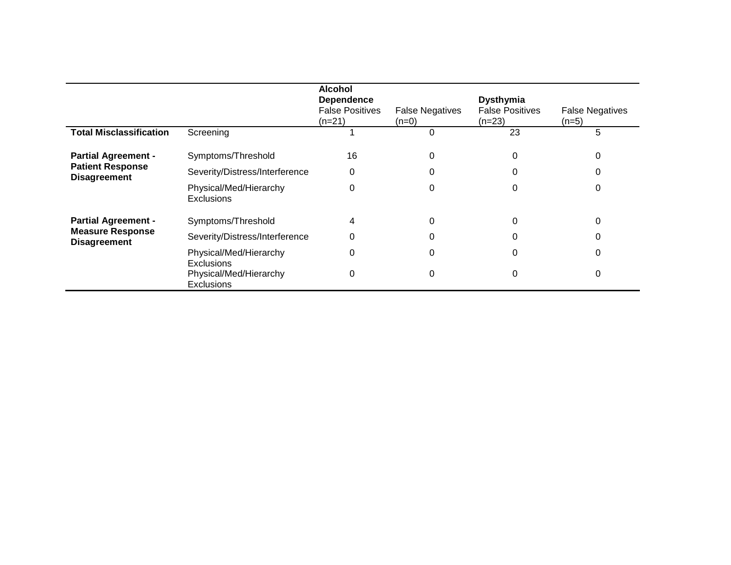|                                                                              |                                             | Alcohol<br><b>Dependence</b><br><b>False Positives</b><br>(n=21) | <b>False Negatives</b><br>$(n=0)$ | <b>Dysthymia</b><br><b>False Positives</b><br>$(n=23)$ | <b>False Negatives</b><br>$(n=5)$ |
|------------------------------------------------------------------------------|---------------------------------------------|------------------------------------------------------------------|-----------------------------------|--------------------------------------------------------|-----------------------------------|
| <b>Total Misclassification</b>                                               | Screening                                   |                                                                  | 0                                 | 23                                                     | 5                                 |
| <b>Partial Agreement -</b><br><b>Patient Response</b><br><b>Disagreement</b> | Symptoms/Threshold                          | 16                                                               |                                   | 0                                                      |                                   |
|                                                                              | Severity/Distress/Interference              | 0                                                                |                                   |                                                        |                                   |
|                                                                              | Physical/Med/Hierarchy<br>Exclusions        | 0                                                                |                                   |                                                        |                                   |
| <b>Partial Agreement -</b>                                                   | Symptoms/Threshold                          | 4                                                                |                                   |                                                        |                                   |
| <b>Measure Response</b><br><b>Disagreement</b>                               | Severity/Distress/Interference              | 0                                                                |                                   |                                                        |                                   |
|                                                                              | Physical/Med/Hierarchy<br><b>Exclusions</b> | 0                                                                |                                   |                                                        |                                   |
|                                                                              | Physical/Med/Hierarchy<br><b>Exclusions</b> | 0                                                                | 0                                 | 0                                                      | 0                                 |